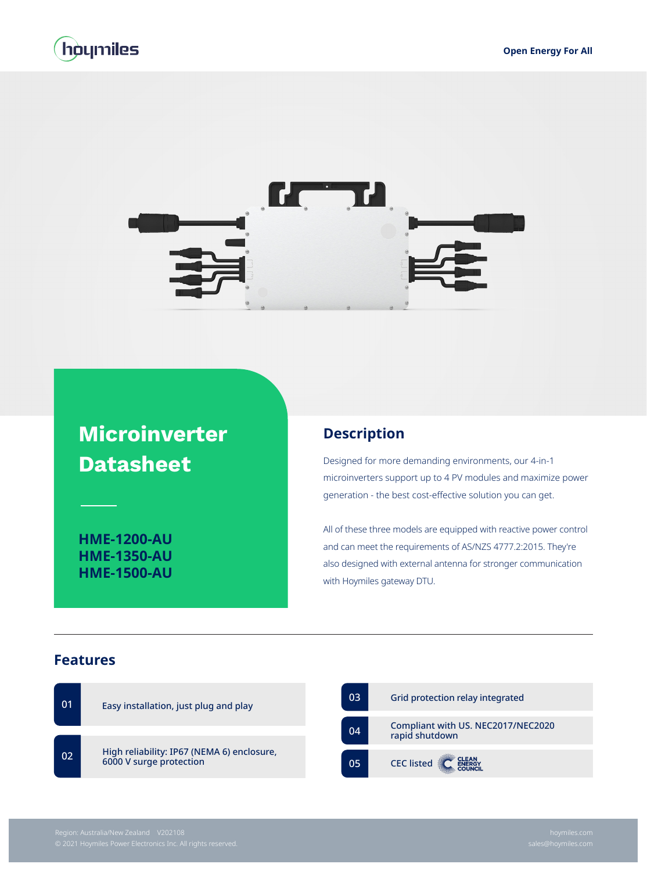



## **Microinverter Datasheet**

**HME-1200-AU HME-1350-AU HME-1500-AU**

## **Description**

Designed for more demanding environments, our 4-in-1 microinverters support up to 4 PV modules and maximize power generation - the best cost-effective solution you can get.

All of these three models are equipped with reactive power control and can meet the requirements of AS/NZS 4777.2:2015. They're also designed with external antenna for stronger communication with Hoymiles gateway DTU.

## **Features**